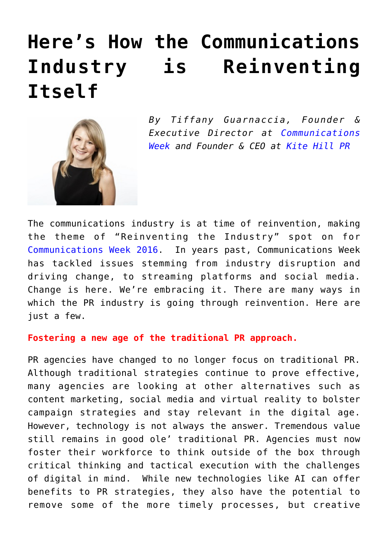## **[Here's How the Communications](https://www.commpro.biz/heres-how-the-communications-industry-is-reinventing-itself/) [Industry is Reinventing](https://www.commpro.biz/heres-how-the-communications-industry-is-reinventing-itself/) [Itself](https://www.commpro.biz/heres-how-the-communications-industry-is-reinventing-itself/)**



*By Tiffany Guarnaccia, Founder & Executive Director at [Communications](https://www.commsweek.com/schedule/) [Week](https://www.commsweek.com/schedule/) and Founder & CEO at [Kite Hill PR](https://www.kitehillpr.com/)*

The communications industry is at time of reinvention, making the theme of "Reinventing the Industry" spot on for [Communications Week 2016.](https://www.commsweek.com/schedule/) In years past, Communications Week has tackled issues stemming from industry disruption and driving change, to streaming platforms and social media. Change is here. We're embracing it. There are many ways in which the PR industry is going through reinvention. Here are just a few.

## **Fostering a new age of the traditional PR approach.**

PR agencies have changed to no longer focus on traditional PR. Although traditional strategies continue to prove effective, many agencies are looking at other alternatives such as content marketing, social media and virtual reality to bolster campaign strategies and stay relevant in the digital age. However, technology is not always the answer. Tremendous value still remains in good ole' traditional PR. Agencies must now foster their workforce to think outside of the box through critical thinking and tactical execution with the challenges of digital in mind. While new technologies like AI can offer benefits to PR strategies, they also have the potential to remove some of the more timely processes, but creative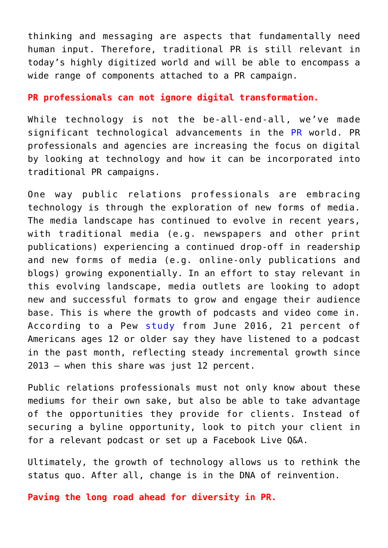thinking and messaging are aspects that fundamentally need human input. Therefore, traditional PR is still relevant in today's highly digitized world and will be able to encompass a wide range of components attached to a PR campaign.

## **PR professionals can not ignore digital transformation.**

While technology is not the be-all-end-all, we've made significant technological advancements in the [PR](https://www.commpro.biz/public-relations-section/) world. PR professionals and agencies are increasing the focus on digital by looking at technology and how it can be incorporated into traditional PR campaigns.

One way public relations professionals are embracing technology is through the exploration of new forms of media. The media landscape has continued to evolve in recent years, with traditional media (e.g. newspapers and other print publications) experiencing a continued drop-off in readership and new forms of media (e.g. online-only publications and blogs) growing exponentially. In an effort to stay relevant in this evolving landscape, media outlets are looking to adopt new and successful formats to grow and engage their audience base. This is where the growth of podcasts and video come in. According to a Pew [study](https://www.journalism.org/2016/06/15/podcasting-fact-sheet/) from June 2016, 21 percent of Americans ages 12 or older say they have listened to a podcast in the past month, reflecting steady incremental growth since 2013 – when this share was just 12 percent.

Public relations professionals must not only know about these mediums for their own sake, but also be able to take advantage of the opportunities they provide for clients. Instead of securing a byline opportunity, look to pitch your client in for a relevant podcast or set up a Facebook Live Q&A.

Ultimately, the growth of technology allows us to rethink the status quo. After all, change is in the DNA of reinvention.

**Paving the long road ahead for diversity in PR.**